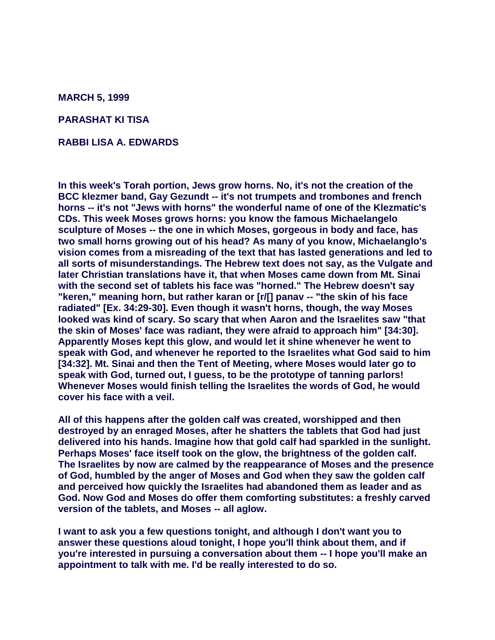**MARCH 5, 1999**

**PARASHAT KI TISA**

**RABBI LISA A. EDWARDS**

**In this week's Torah portion, Jews grow horns. No, it's not the creation of the BCC klezmer band, Gay Gezundt -- it's not trumpets and trombones and french horns -- it's not "Jews with horns" the wonderful name of one of the Klezmatic's CDs. This week Moses grows horns: you know the famous Michaelangelo sculpture of Moses -- the one in which Moses, gorgeous in body and face, has two small horns growing out of his head? As many of you know, Michaelanglo's vision comes from a misreading of the text that has lasted generations and led to all sorts of misunderstandings. The Hebrew text does not say, as the Vulgate and later Christian translations have it, that when Moses came down from Mt. Sinai with the second set of tablets his face was "horned." The Hebrew doesn't say "keren," meaning horn, but rather karan or [r/[] panav -- "the skin of his face radiated" [Ex. 34:29-30]. Even though it wasn't horns, though, the way Moses looked was kind of scary. So scary that when Aaron and the Israelites saw "that the skin of Moses' face was radiant, they were afraid to approach him" [34:30]. Apparently Moses kept this glow, and would let it shine whenever he went to speak with God, and whenever he reported to the Israelites what God said to him [34:32]. Mt. Sinai and then the Tent of Meeting, where Moses would later go to speak with God, turned out, I guess, to be the prototype of tanning parlors! Whenever Moses would finish telling the Israelites the words of God, he would cover his face with a veil.**

**All of this happens after the golden calf was created, worshipped and then destroyed by an enraged Moses, after he shatters the tablets that God had just delivered into his hands. Imagine how that gold calf had sparkled in the sunlight. Perhaps Moses' face itself took on the glow, the brightness of the golden calf. The Israelites by now are calmed by the reappearance of Moses and the presence of God, humbled by the anger of Moses and God when they saw the golden calf and perceived how quickly the Israelites had abandoned them as leader and as God. Now God and Moses do offer them comforting substitutes: a freshly carved version of the tablets, and Moses -- all aglow.**

**I want to ask you a few questions tonight, and although I don't want you to answer these questions aloud tonight, I hope you'll think about them, and if you're interested in pursuing a conversation about them -- I hope you'll make an appointment to talk with me. I'd be really interested to do so.**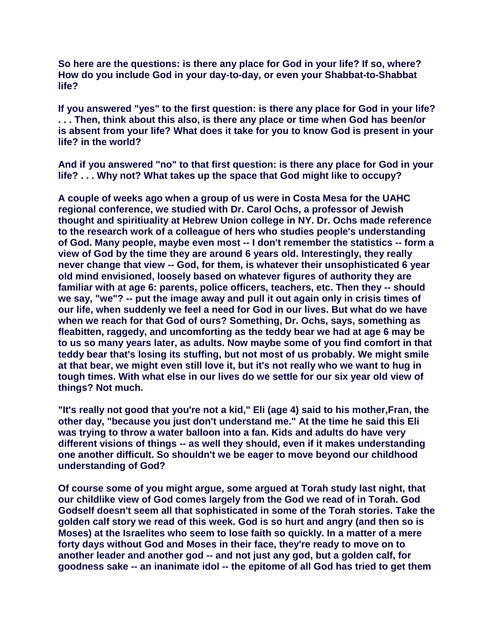**So here are the questions: is there any place for God in your life? If so, where? How do you include God in your day-to-day, or even your Shabbat-to-Shabbat life?**

**If you answered "yes" to the first question: is there any place for God in your life? . . . Then, think about this also, is there any place or time when God has been/or is absent from your life? What does it take for you to know God is present in your life? in the world?**

**And if you answered "no" to that first question: is there any place for God in your life? . . . Why not? What takes up the space that God might like to occupy?**

**A couple of weeks ago when a group of us were in Costa Mesa for the UAHC regional conference, we studied with Dr. Carol Ochs, a professor of Jewish thought and spiritiuality at Hebrew Union college in NY. Dr. Ochs made reference to the research work of a colleague of hers who studies people's understanding of God. Many people, maybe even most -- I don't remember the statistics -- form a view of God by the time they are around 6 years old. Interestingly, they really never change that view -- God, for them, is whatever their unsophisticated 6 year old mind envisioned, loosely based on whatever figures of authority they are familiar with at age 6: parents, police officers, teachers, etc. Then they -- should we say, "we"? -- put the image away and pull it out again only in crisis times of our life, when suddenly we feel a need for God in our lives. But what do we have when we reach for that God of ours? Something, Dr. Ochs, says, something as fleabitten, raggedy, and uncomforting as the teddy bear we had at age 6 may be to us so many years later, as adults. Now maybe some of you find comfort in that teddy bear that's losing its stuffing, but not most of us probably. We might smile at that bear, we might even still love it, but it's not really who we want to hug in tough times. With what else in our lives do we settle for our six year old view of things? Not much.**

**"It's really not good that you're not a kid," Eli (age 4) said to his mother,Fran, the other day, "because you just don't understand me." At the time he said this Eli was trying to throw a water balloon into a fan. Kids and adults do have very different visions of things -- as well they should, even if it makes understanding one another difficult. So shouldn't we be eager to move beyond our childhood understanding of God?**

**Of course some of you might argue, some argued at Torah study last night, that our childlike view of God comes largely from the God we read of in Torah. God Godself doesn't seem all that sophisticated in some of the Torah stories. Take the golden calf story we read of this week. God is so hurt and angry (and then so is Moses) at the Israelites who seem to lose faith so quickly. In a matter of a mere forty days without God and Moses in their face, they're ready to move on to another leader and another god -- and not just any god, but a golden calf, for goodness sake -- an inanimate idol -- the epitome of all God has tried to get them**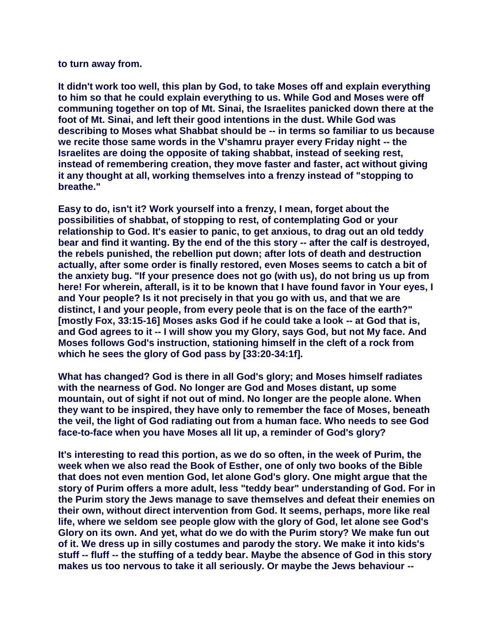## **to turn away from.**

**It didn't work too well, this plan by God, to take Moses off and explain everything to him so that he could explain everything to us. While God and Moses were off communing together on top of Mt. Sinai, the Israelites panicked down there at the foot of Mt. Sinai, and left their good intentions in the dust. While God was describing to Moses what Shabbat should be -- in terms so familiar to us because we recite those same words in the V'shamru prayer every Friday night -- the Israelites are doing the opposite of taking shabbat, instead of seeking rest, instead of remembering creation, they move faster and faster, act without giving it any thought at all, working themselves into a frenzy instead of "stopping to breathe."**

**Easy to do, isn't it? Work yourself into a frenzy, I mean, forget about the possibilities of shabbat, of stopping to rest, of contemplating God or your relationship to God. It's easier to panic, to get anxious, to drag out an old teddy bear and find it wanting. By the end of the this story -- after the calf is destroyed, the rebels punished, the rebellion put down; after lots of death and destruction actually, after some order is finally restored, even Moses seems to catch a bit of the anxiety bug. "If your presence does not go (with us), do not bring us up from here! For wherein, afterall, is it to be known that I have found favor in Your eyes, I and Your people? Is it not precisely in that you go with us, and that we are distinct, I and your people, from every peole that is on the face of the earth?" [mostly Fox, 33:15-16] Moses asks God if he could take a look -- at God that is, and God agrees to it -- I will show you my Glory, says God, but not My face. And Moses follows God's instruction, stationing himself in the cleft of a rock from which he sees the glory of God pass by [33:20-34:1f].**

**What has changed? God is there in all God's glory; and Moses himself radiates with the nearness of God. No longer are God and Moses distant, up some mountain, out of sight if not out of mind. No longer are the people alone. When they want to be inspired, they have only to remember the face of Moses, beneath the veil, the light of God radiating out from a human face. Who needs to see God face-to-face when you have Moses all lit up, a reminder of God's glory?** 

**It's interesting to read this portion, as we do so often, in the week of Purim, the week when we also read the Book of Esther, one of only two books of the Bible that does not even mention God, let alone God's glory. One might argue that the story of Purim offers a more adult, less "teddy bear" understanding of God. For in the Purim story the Jews manage to save themselves and defeat their enemies on their own, without direct intervention from God. It seems, perhaps, more like real life, where we seldom see people glow with the glory of God, let alone see God's Glory on its own. And yet, what do we do with the Purim story? We make fun out of it. We dress up in silly costumes and parody the story. We make it into kids's stuff -- fluff -- the stuffing of a teddy bear. Maybe the absence of God in this story makes us too nervous to take it all seriously. Or maybe the Jews behaviour --**